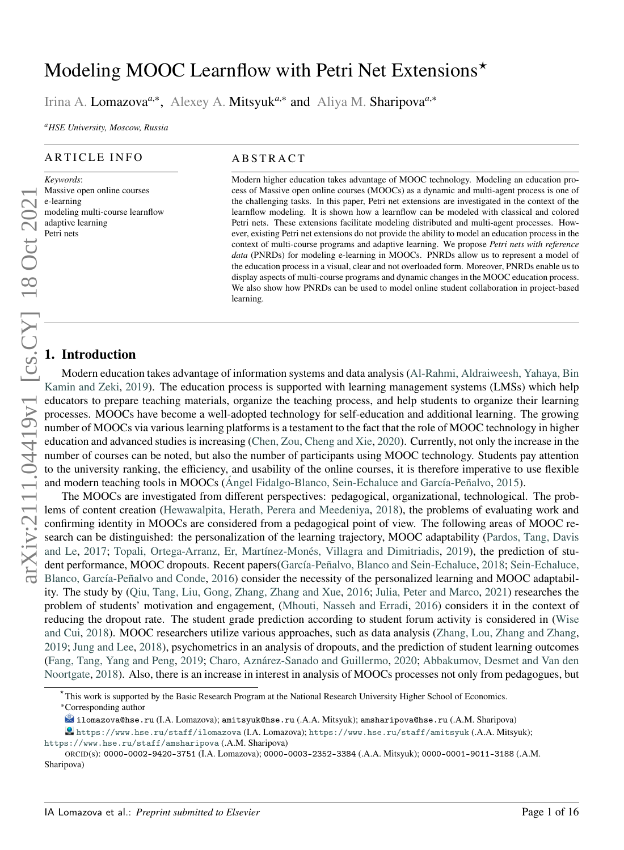# Modeling MOOC Learnflow with Petri Net Extensions<sup>\*</sup>

Irina A. Lomazova<sup>*a*,∗</sup>, Alexey A. Mitsyuk<sup>*a*,∗</sup> and Aliya M. Sharipova<sup>*a*,∗</sup>

*<sup>a</sup>HSE University, Moscow, Russia*

#### ARTICLE INFO

*Keywords*: Massive open online courses e-learning modeling multi-course learnflow adaptive learning Petri nets

#### **ABSTRACT**

Modern higher education takes advantage of MOOC technology. Modeling an education process of Massive open online courses (MOOCs) as a dynamic and multi-agent process is one of the challenging tasks. In this paper, Petri net extensions are investigated in the context of the learnflow modeling. It is shown how a learnflow can be modeled with classical and colored Petri nets. These extensions facilitate modeling distributed and multi-agent processes. However, existing Petri net extensions do not provide the ability to model an education process in the context of multi-course programs and adaptive learning. We propose *Petri nets with reference data* (PNRDs) for modeling e-learning in MOOCs. PNRDs allow us to represent a model of the education process in a visual, clear and not overloaded form. Moreover, PNRDs enable us to display aspects of multi-course programs and dynamic changes in the MOOC education process. We also show how PNRDs can be used to model online student collaboration in project-based learning.

## **1. Introduction**

Modern education takes advantage of information systems and data analysis [\(Al-Rahmi, Aldraiweesh, Yahaya, Bin](#page-13-0) [Kamin and Zeki,](#page-13-0) [2019\)](#page-13-0). The education process is supported with learning management systems (LMSs) which help educators to prepare teaching materials, organize the teaching process, and help students to organize their learning processes. MOOCs have become a well-adopted technology for self-education and additional learning. The growing number of MOOCs via various learning platforms is a testament to the fact that the role of MOOC technology in higher education and advanced studies is increasing [\(Chen, Zou, Cheng and Xie,](#page-13-1) [2020\)](#page-13-1). Currently, not only the increase in the number of courses can be noted, but also the number of participants using MOOC technology. Students pay attention to the university ranking, the efficiency, and usability of the online courses, it is therefore imperative to use flexible and modern teaching tools in MOOCs [\(Ángel Fidalgo-Blanco, Sein-Echaluce and García-Peñalvo,](#page-13-2) [2015\)](#page-13-2).

The MOOCs are investigated from different perspectives: pedagogical, organizational, technological. The problems of content creation [\(Hewawalpita, Herath, Perera and Meedeniya,](#page-14-0) [2018\)](#page-14-0), the problems of evaluating work and confirming identity in MOOCs are considered from a pedagogical point of view. The following areas of MOOC research can be distinguished: the personalization of the learning trajectory, MOOC adaptability [\(Pardos, Tang, Davis](#page-14-1) [and Le,](#page-14-1) [2017;](#page-14-1) [Topali, Ortega-Arranz, Er, Martínez-Monés, Villagra and Dimitriadis,](#page-14-2) [2019\)](#page-14-2), the prediction of student performance, MOOC dropouts. Recent papers[\(García-Peñalvo, Blanco and Sein-Echaluce,](#page-14-3) [2018;](#page-14-3) [Sein-Echaluce,](#page-14-4) [Blanco, García-Peñalvo and Conde,](#page-14-4) [2016\)](#page-14-4) consider the necessity of the personalized learning and MOOC adaptability. The study by [\(Qiu, Tang, Liu, Gong, Zhang, Zhang and Xue,](#page-14-5) [2016;](#page-14-5) [Julia, Peter and Marco,](#page-14-6) [2021\)](#page-14-6) researches the problem of students' motivation and engagement, [\(Mhouti, Nasseh and Erradi,](#page-14-7) [2016\)](#page-14-7) considers it in the context of reducing the dropout rate. The student grade prediction according to student forum activity is considered in [\(Wise](#page-14-8) [and Cui,](#page-14-8) [2018\)](#page-14-8). MOOC researchers utilize various approaches, such as data analysis [\(Zhang, Lou, Zhang and Zhang,](#page-15-0) [2019;](#page-15-0) [Jung and Lee,](#page-14-9) [2018\)](#page-14-9), psychometrics in an analysis of dropouts, and the prediction of student learning outcomes [\(Fang, Tang, Yang and Peng,](#page-13-3) [2019;](#page-13-3) [Charo, Aznárez-Sanado and Guillermo,](#page-13-4) [2020;](#page-13-4) [Abbakumov, Desmet and Van den](#page-13-5) [Noortgate,](#page-13-5) [2018\)](#page-13-5). Also, there is an increase in interest in analysis of MOOCs processes not only from pedagogues, but

<https://www.hse.ru/staff/ilomazova> (I.A. Lomazova); <https://www.hse.ru/staff/amitsyuk> (.A.A. Mitsyuk); <https://www.hse.ru/staff/amsharipova> (.A.M. Sharipova)

*<sup>⋆</sup>* This work is supported by the Basic Research Program at the National Research University Higher School of Economics. <sup>∗</sup>Corresponding author

ilomazova@hse.ru (I.A. Lomazova); amitsyuk@hse.ru (.A.A. Mitsyuk); amsharipova@hse.ru (.A.M. Sharipova)

ORCID(s): 0000-0002-9420-3751 (I.A. Lomazova); 0000-0003-2352-3384 (.A.A. Mitsyuk); 0000-0001-9011-3188 (.A.M. Sharipova)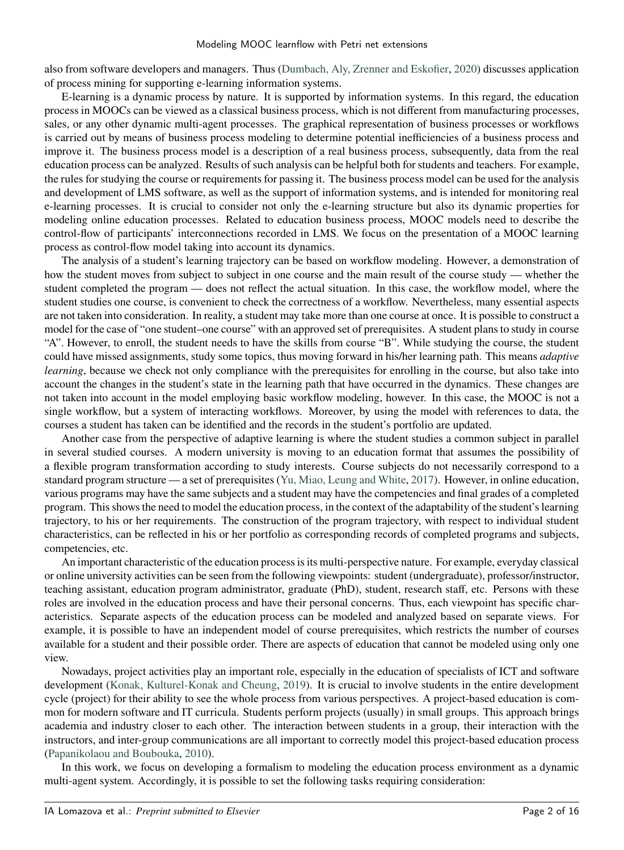also from software developers and managers. Thus [\(Dumbach, Aly, Zrenner and Eskofier,](#page-13-6) [2020\)](#page-13-6) discusses application of process mining for supporting e-learning information systems.

E-learning is a dynamic process by nature. It is supported by information systems. In this regard, the education process in MOOCs can be viewed as a classical business process, which is not different from manufacturing processes, sales, or any other dynamic multi-agent processes. The graphical representation of business processes or workflows is carried out by means of business process modeling to determine potential inefficiencies of a business process and improve it. The business process model is a description of a real business process, subsequently, data from the real education process can be analyzed. Results of such analysis can be helpful both for students and teachers. For example, the rules for studying the course or requirements for passing it. The business process model can be used for the analysis and development of LMS software, as well as the support of information systems, and is intended for monitoring real e-learning processes. It is crucial to consider not only the e-learning structure but also its dynamic properties for modeling online education processes. Related to education business process, MOOC models need to describe the control-flow of participants' interconnections recorded in LMS. We focus on the presentation of a MOOC learning process as control-flow model taking into account its dynamics.

The analysis of a student's learning trajectory can be based on workflow modeling. However, a demonstration of how the student moves from subject to subject in one course and the main result of the course study — whether the student completed the program — does not reflect the actual situation. In this case, the workflow model, where the student studies one course, is convenient to check the correctness of a workflow. Nevertheless, many essential aspects are not taken into consideration. In reality, a student may take more than one course at once. It is possible to construct a model for the case of "one student–one course" with an approved set of prerequisites. A student plans to study in course "A". However, to enroll, the student needs to have the skills from course "B". While studying the course, the student could have missed assignments, study some topics, thus moving forward in his/her learning path. This means *adaptive learning*, because we check not only compliance with the prerequisites for enrolling in the course, but also take into account the changes in the student's state in the learning path that have occurred in the dynamics. These changes are not taken into account in the model employing basic workflow modeling, however. In this case, the MOOC is not a single workflow, but a system of interacting workflows. Moreover, by using the model with references to data, the courses a student has taken can be identified and the records in the student's portfolio are updated.

Another case from the perspective of adaptive learning is where the student studies a common subject in parallel in several studied courses. A modern university is moving to an education format that assumes the possibility of a flexible program transformation according to study interests. Course subjects do not necessarily correspond to a standard program structure — a set of prerequisites [\(Yu, Miao, Leung and White,](#page-14-10) [2017\)](#page-14-10). However, in online education, various programs may have the same subjects and a student may have the competencies and final grades of a completed program. This shows the need to model the education process, in the context of the adaptability of the student's learning trajectory, to his or her requirements. The construction of the program trajectory, with respect to individual student characteristics, can be reflected in his or her portfolio as corresponding records of completed programs and subjects, competencies, etc.

An important characteristic of the education process is its multi-perspective nature. For example, everyday classical or online university activities can be seen from the following viewpoints: student (undergraduate), professor/instructor, teaching assistant, education program administrator, graduate (PhD), student, research staff, etc. Persons with these roles are involved in the education process and have their personal concerns. Thus, each viewpoint has specific characteristics. Separate aspects of the education process can be modeled and analyzed based on separate views. For example, it is possible to have an independent model of course prerequisites, which restricts the number of courses available for a student and their possible order. There are aspects of education that cannot be modeled using only one view.

Nowadays, project activities play an important role, especially in the education of specialists of ICT and software development [\(Konak, Kulturel-Konak and Cheung,](#page-14-11) [2019\)](#page-14-11). It is crucial to involve students in the entire development cycle (project) for their ability to see the whole process from various perspectives. A project-based education is common for modern software and IT curricula. Students perform projects (usually) in small groups. This approach brings academia and industry closer to each other. The interaction between students in a group, their interaction with the instructors, and inter-group communications are all important to correctly model this project-based education process [\(Papanikolaou and Boubouka,](#page-14-12) [2010\)](#page-14-12).

In this work, we focus on developing a formalism to modeling the education process environment as a dynamic multi-agent system. Accordingly, it is possible to set the following tasks requiring consideration: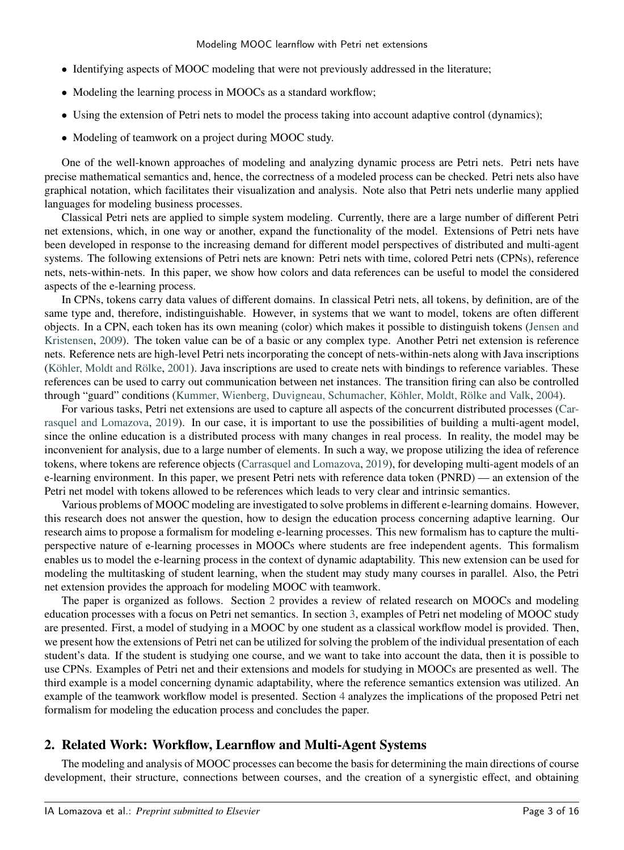- Identifying aspects of MOOC modeling that were not previously addressed in the literature;
- Modeling the learning process in MOOCs as a standard workflow;
- Using the extension of Petri nets to model the process taking into account adaptive control (dynamics);
- Modeling of teamwork on a project during MOOC study.

One of the well-known approaches of modeling and analyzing dynamic process are Petri nets. Petri nets have precise mathematical semantics and, hence, the correctness of a modeled process can be checked. Petri nets also have graphical notation, which facilitates their visualization and analysis. Note also that Petri nets underlie many applied languages for modeling business processes.

Classical Petri nets are applied to simple system modeling. Currently, there are a large number of different Petri net extensions, which, in one way or another, expand the functionality of the model. Extensions of Petri nets have been developed in response to the increasing demand for different model perspectives of distributed and multi-agent systems. The following extensions of Petri nets are known: Petri nets with time, colored Petri nets (CPNs), reference nets, nets-within-nets. In this paper, we show how colors and data references can be useful to model the considered aspects of the e-learning process.

In CPNs, tokens carry data values of different domains. In classical Petri nets, all tokens, by definition, are of the same type and, therefore, indistinguishable. However, in systems that we want to model, tokens are often different objects. In a CPN, each token has its own meaning (color) which makes it possible to distinguish tokens [\(Jensen and](#page-14-13) [Kristensen,](#page-14-13) [2009\)](#page-14-13). The token value can be of a basic or any complex type. Another Petri net extension is reference nets. Reference nets are high-level Petri nets incorporating the concept of nets-within-nets along with Java inscriptions [\(Köhler, Moldt and Rölke,](#page-14-14) [2001\)](#page-14-14). Java inscriptions are used to create nets with bindings to reference variables. These references can be used to carry out communication between net instances. The transition firing can also be controlled through "guard" conditions [\(Kummer, Wienberg, Duvigneau, Schumacher, Köhler, Moldt, Rölke and Valk,](#page-14-15) [2004\)](#page-14-15).

For various tasks, Petri net extensions are used to capture all aspects of the concurrent distributed processes [\(Car](#page-13-7)[rasquel and Lomazova,](#page-13-7) [2019\)](#page-13-7). In our case, it is important to use the possibilities of building a multi-agent model, since the online education is a distributed process with many changes in real process. In reality, the model may be inconvenient for analysis, due to a large number of elements. In such a way, we propose utilizing the idea of reference tokens, where tokens are reference objects [\(Carrasquel and Lomazova,](#page-13-7) [2019\)](#page-13-7), for developing multi-agent models of an e-learning environment. In this paper, we present Petri nets with reference data token (PNRD) — an extension of the Petri net model with tokens allowed to be references which leads to very clear and intrinsic semantics.

Various problems of MOOC modeling are investigated to solve problems in different e-learning domains. However, this research does not answer the question, how to design the education process concerning adaptive learning. Our research aims to propose a formalism for modeling e-learning processes. This new formalism has to capture the multiperspective nature of e-learning processes in MOOCs where students are free independent agents. This formalism enables us to model the e-learning process in the context of dynamic adaptability. This new extension can be used for modeling the multitasking of student learning, when the student may study many courses in parallel. Also, the Petri net extension provides the approach for modeling MOOC with teamwork.

The paper is organized as follows. Section [2](#page-2-0) provides a review of related research on MOOCs and modeling education processes with a focus on Petri net semantics. In section [3,](#page-4-0) examples of Petri net modeling of MOOC study are presented. First, a model of studying in a MOOC by one student as a classical workflow model is provided. Then, we present how the extensions of Petri net can be utilized for solving the problem of the individual presentation of each student's data. If the student is studying one course, and we want to take into account the data, then it is possible to use CPNs. Examples of Petri net and their extensions and models for studying in MOOCs are presented as well. The third example is a model concerning dynamic adaptability, where the reference semantics extension was utilized. An example of the teamwork workflow model is presented. Section [4](#page-10-0) analyzes the implications of the proposed Petri net formalism for modeling the education process and concludes the paper.

## <span id="page-2-0"></span>**2. Related Work: Workflow, Learnflow and Multi-Agent Systems**

The modeling and analysis of MOOC processes can become the basis for determining the main directions of course development, their structure, connections between courses, and the creation of a synergistic effect, and obtaining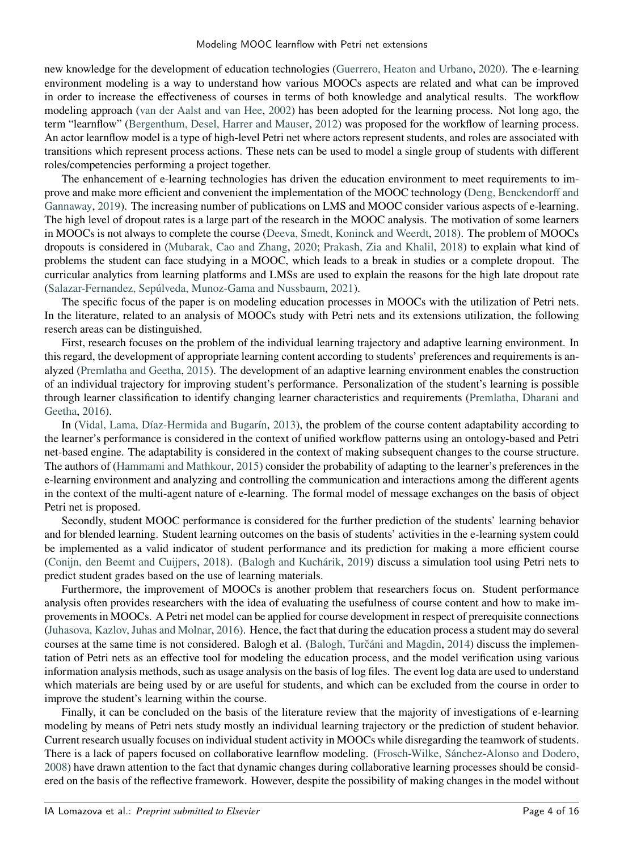new knowledge for the development of education technologies [\(Guerrero, Heaton and Urbano,](#page-14-16) [2020\)](#page-14-16). The e-learning environment modeling is a way to understand how various MOOCs aspects are related and what can be improved in order to increase the effectiveness of courses in terms of both knowledge and analytical results. The workflow modeling approach [\(van der Aalst and van Hee,](#page-13-8) [2002\)](#page-13-8) has been adopted for the learning process. Not long ago, the term "learnflow" [\(Bergenthum, Desel, Harrer and Mauser,](#page-13-9) [2012\)](#page-13-9) was proposed for the workflow of learning process. An actor learnflow model is a type of high-level Petri net where actors represent students, and roles are associated with transitions which represent process actions. These nets can be used to model a single group of students with different roles/competencies performing a project together.

The enhancement of e-learning technologies has driven the education environment to meet requirements to improve and make more efficient and convenient the implementation of the MOOC technology [\(Deng, Benckendorff and](#page-13-10) [Gannaway,](#page-13-10) [2019\)](#page-13-10). The increasing number of publications on LMS and MOOC consider various aspects of e-learning. The high level of dropout rates is a large part of the research in the MOOC analysis. The motivation of some learners in MOOCs is not always to complete the course [\(Deeva, Smedt, Koninck and Weerdt,](#page-13-11) [2018\)](#page-13-11). The problem of MOOCs dropouts is considered in [\(Mubarak, Cao and Zhang,](#page-14-17) [2020;](#page-14-17) [Prakash, Zia and Khalil,](#page-14-18) [2018\)](#page-14-18) to explain what kind of problems the student can face studying in a MOOC, which leads to a break in studies or a complete dropout. The curricular analytics from learning platforms and LMSs are used to explain the reasons for the high late dropout rate [\(Salazar-Fernandez, Sepúlveda, Munoz-Gama and Nussbaum,](#page-14-19) [2021\)](#page-14-19).

The specific focus of the paper is on modeling education processes in MOOCs with the utilization of Petri nets. In the literature, related to an analysis of MOOCs study with Petri nets and its extensions utilization, the following reserch areas can be distinguished.

First, research focuses on the problem of the individual learning trajectory and adaptive learning environment. In this regard, the development of appropriate learning content according to students' preferences and requirements is analyzed [\(Premlatha and Geetha,](#page-14-20) [2015\)](#page-14-20). The development of an adaptive learning environment enables the construction of an individual trajectory for improving student's performance. Personalization of the student's learning is possible through learner classification to identify changing learner characteristics and requirements [\(Premlatha, Dharani and](#page-14-21) [Geetha,](#page-14-21) [2016\)](#page-14-21).

In [\(Vidal, Lama, Díaz-Hermida and Bugarín,](#page-14-22) [2013\)](#page-14-22), the problem of the course content adaptability according to the learner's performance is considered in the context of unified workflow patterns using an ontology-based and Petri net-based engine. The adaptability is considered in the context of making subsequent changes to the course structure. The authors of [\(Hammami and Mathkour,](#page-14-23) [2015\)](#page-14-23) consider the probability of adapting to the learner's preferences in the e-learning environment and analyzing and controlling the communication and interactions among the different agents in the context of the multi-agent nature of e-learning. The formal model of message exchanges on the basis of object Petri net is proposed.

Secondly, student MOOC performance is considered for the further prediction of the students' learning behavior and for blended learning. Student learning outcomes on the basis of students' activities in the e-learning system could be implemented as a valid indicator of student performance and its prediction for making a more efficient course [\(Conijn, den Beemt and Cuijpers,](#page-13-12) [2018\)](#page-13-12). [\(Balogh and Kuchárik,](#page-13-13) [2019\)](#page-13-13) discuss a simulation tool using Petri nets to predict student grades based on the use of learning materials.

Furthermore, the improvement of MOOCs is another problem that researchers focus on. Student performance analysis often provides researchers with the idea of evaluating the usefulness of course content and how to make improvements in MOOCs. A Petri net model can be applied for course development in respect of prerequisite connections [\(Juhasova, Kazlov, Juhas and Molnar,](#page-14-24) [2016\)](#page-14-24). Hence, the fact that during the education process a student may do several courses at the same time is not considered. Balogh et al. (Balogh, Turčáni and Magdin, [2014\)](#page-13-14) discuss the implementation of Petri nets as an effective tool for modeling the education process, and the model verification using various information analysis methods, such as usage analysis on the basis of log files. The event log data are used to understand which materials are being used by or are useful for students, and which can be excluded from the course in order to improve the student's learning within the course.

Finally, it can be concluded on the basis of the literature review that the majority of investigations of e-learning modeling by means of Petri nets study mostly an individual learning trajectory or the prediction of student behavior. Current research usually focuses on individual student activity in MOOCs while disregarding the teamwork of students. There is a lack of papers focused on collaborative learnflow modeling. [\(Frosch-Wilke, Sánchez-Alonso and Dodero,](#page-13-15) [2008\)](#page-13-15) have drawn attention to the fact that dynamic changes during collaborative learning processes should be considered on the basis of the reflective framework. However, despite the possibility of making changes in the model without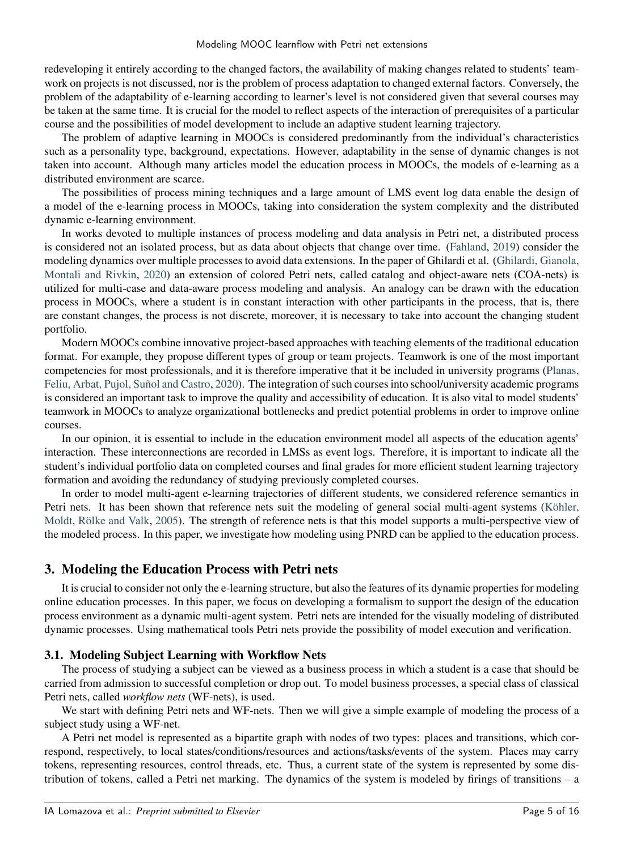redeveloping it entirely according to the changed factors, the availability of making changes related to students' teamwork on projects is not discussed, nor is the problem of process adaptation to changed external factors. Conversely, the problem of the adaptability of e-learning according to learner's level is not considered given that several courses may be taken at the same time. It is crucial for the model to reflect aspects of the interaction of prerequisites of a particular course and the possibilities of model development to include an adaptive student learning trajectory.

The problem of adaptive learning in MOOCs is considered predominantly from the individual's characteristics such as a personality type, background, expectations. However, adaptability in the sense of dynamic changes is not taken into account. Although many articles model the education process in MOOCs, the models of e-learning as a distributed environment are scarce.

The possibilities of process mining techniques and a large amount of LMS event log data enable the design of a model of the e-learning process in MOOCs, taking into consideration the system complexity and the distributed dynamic e-learning environment.

In works devoted to multiple instances of process modeling and data analysis in Petri net, a distributed process is considered not an isolated process, but as data about objects that change over time. [\(Fahland,](#page-13-16) [2019\)](#page-13-16) consider the modeling dynamics over multiple processes to avoid data extensions. In the paper of Ghilardi et al. [\(Ghilardi, Gianola,](#page-14-25) [Montali and Rivkin,](#page-14-25) [2020\)](#page-14-25) an extension of colored Petri nets, called catalog and object-aware nets (COA-nets) is utilized for multi-case and data-aware process modeling and analysis. An analogy can be drawn with the education process in MOOCs, where a student is in constant interaction with other participants in the process, that is, there are constant changes, the process is not discrete, moreover, it is necessary to take into account the changing student portfolio.

Modern MOOCs combine innovative project-based approaches with teaching elements of the traditional education format. For example, they propose different types of group or team projects. Teamwork is one of the most important competencies for most professionals, and it is therefore imperative that it be included in university programs [\(Planas,](#page-14-26) [Feliu, Arbat, Pujol, Suñol and Castro,](#page-14-26) [2020\)](#page-14-26). The integration of such courses into school/university academic programs is considered an important task to improve the quality and accessibility of education. It is also vital to model students' teamwork in MOOCs to analyze organizational bottlenecks and predict potential problems in order to improve online courses.

In our opinion, it is essential to include in the education environment model all aspects of the education agents' interaction. These interconnections are recorded in LMSs as event logs. Therefore, it is important to indicate all the student's individual portfolio data on completed courses and final grades for more efficient student learning trajectory formation and avoiding the redundancy of studying previously completed courses.

In order to model multi-agent e-learning trajectories of different students, we considered reference semantics in Petri nets. It has been shown that reference nets suit the modeling of general social multi-agent systems [\(Köhler,](#page-14-27) [Moldt, Rölke and Valk,](#page-14-27) [2005\)](#page-14-27). The strength of reference nets is that this model supports a multi-perspective view of the modeled process. In this paper, we investigate how modeling using PNRD can be applied to the education process.

## <span id="page-4-0"></span>**3. Modeling the Education Process with Petri nets**

It is crucial to consider not only the e-learning structure, but also the features of its dynamic properties for modeling online education processes. In this paper, we focus on developing a formalism to support the design of the education process environment as a dynamic multi-agent system. Petri nets are intended for the visually modeling of distributed dynamic processes. Using mathematical tools Petri nets provide the possibility of model execution and verification.

## **3.1. Modeling Subject Learning with Workflow Nets**

The process of studying a subject can be viewed as a business process in which a student is a case that should be carried from admission to successful completion or drop out. To model business processes, a special class of classical Petri nets, called *workflow nets* (WF-nets), is used.

We start with defining Petri nets and WF-nets. Then we will give a simple example of modeling the process of a subject study using a WF-net.

A Petri net model is represented as a bipartite graph with nodes of two types: places and transitions, which correspond, respectively, to local states/conditions/resources and actions/tasks/events of the system. Places may carry tokens, representing resources, control threads, etc. Thus, a current state of the system is represented by some distribution of tokens, called a Petri net marking. The dynamics of the system is modeled by firings of transitions – a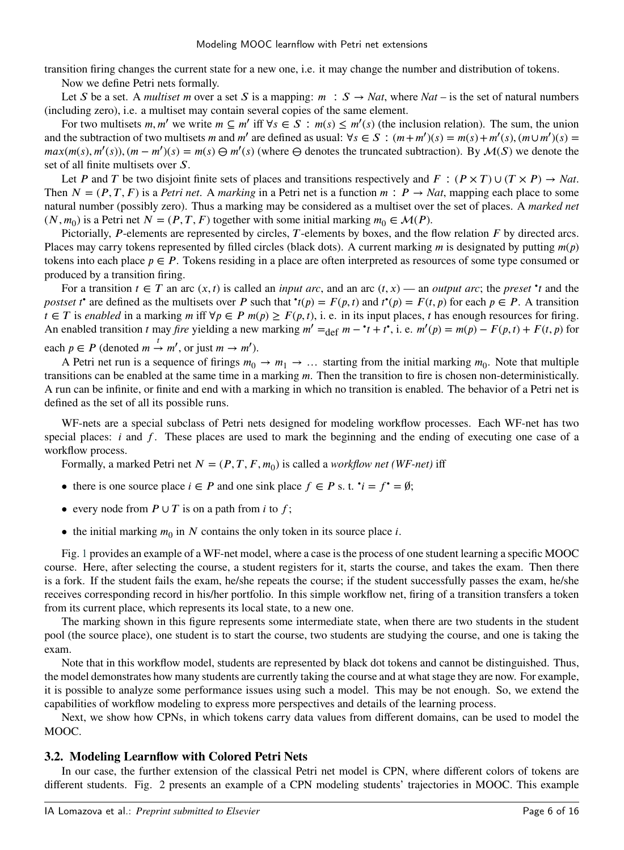transition firing changes the current state for a new one, i.e. it may change the number and distribution of tokens. Now we define Petri nets formally.

Let *S* be a set. A *multiset m* over a set *S* is a mapping:  $m : S \rightarrow Nat$ , where  $Nat$  – is the set of natural numbers (including zero), i.e. a multiset may contain several copies of the same element.

For two multisets *m, m'* we write  $m \subseteq m'$  iff  $\forall s \in S : m(s) \le m'(s)$  (the inclusion relation). The sum, the union and the subtraction of two multisets *m* and *m'* are defined as usual:  $\forall s \in S : (m+m')(s) = m(s) + m'(s), (m \cup m')(s) =$  $max(m(s), m'(s))$ ,  $(m - m')(s) = m(s) \Theta m'(s)$  (where  $\Theta$  denotes the truncated subtraction). By  $\mathcal{M}(S)$  we denote the set of all finite multisets over S.

Let *P* and *T* be two disjoint finite sets of places and transitions respectively and  $F : (P \times T) \cup (T \times P) \rightarrow Nat$ . Then  $N = (P, T, F)$  is a *Petri net*. A *marking* in a Petri net is a function  $m : P \rightarrow Nat$ , mapping each place to some natural number (possibly zero). Thus a marking may be considered as a multiset over the set of places. A *marked net*  $(N, m_0)$  is a Petri net  $N = (P, T, F)$  together with some initial marking  $m_0 \in \mathcal{M}(P)$ .

Pictorially, *P*-elements are represented by circles, *T*-elements by boxes, and the flow relation *F* by directed arcs. Places may carry tokens represented by filled circles (black dots). A current marking  $m$  is designated by putting  $m(p)$ tokens into each place  $p \in P$ . Tokens residing in a place are often interpreted as resources of some type consumed or produced by a transition firing.

For a transition  $t \in T$  an arc  $(x, t)$  is called an *input arc*, and an arc  $(t, x)$  — an *output arc*; the *preset* • *t* and the postset *t*<sup>•</sup> are defined as the multisets over *P* such that  ${}^*t(p) = F(p, t)$  and  $t^*(p) = F(t, p)$  for each  $p \in P$ . A transition *t* ∈ *T* is *enabled* in a marking *m* iff ∀*p* ∈ *P m*(*p*) ≥ *F*(*p*,*t*), i. e. in its input places, *t* has enough resources for firing. An enabled transition *t* may *fire* yielding a new marking  $m' = \det m - \hat{i} + \hat{i}$ , i.e.  $m'(p) = m(p) - F(p, \hat{i}) + F(\hat{i}, p)$  for each  $p \in P$  (denoted  $m \stackrel{t}{\rightarrow} m'$ , or just  $m \rightarrow m'$ ).

A Petri net run is a sequence of firings  $m_0 \to m_1 \to \dots$  starting from the initial marking  $m_0$ . Note that multiple transitions can be enabled at the same time in a marking *m*. Then the transition to fire is chosen non-deterministically. A run can be infinite, or finite and end with a marking in which no transition is enabled. The behavior of a Petri net is defined as the set of all its possible runs.

WF-nets are a special subclass of Petri nets designed for modeling workflow processes. Each WF-net has two special places: *i* and *f*. These places are used to mark the beginning and the ending of executing one case of a workflow process.

Formally, a marked Petri net  $N = (P, T, F, m_0)$  is called a *workflow net* (*WF-net*) iff

- there is one source place  $i \in P$  and one sink place  $f \in P$  s. t.  $\dot{v} = f \dot{v} = \emptyset$ ;
- every node from  $P \cup T$  is on a path from *i* to *f*;
- the initial marking  $m_0$  in  $N$  contains the only token in its source place  $i$ .

Fig. [1](#page-6-0) provides an example of a WF-net model, where a case is the process of one student learning a specific MOOC course. Here, after selecting the course, a student registers for it, starts the course, and takes the exam. Then there is a fork. If the student fails the exam, he/she repeats the course; if the student successfully passes the exam, he/she receives corresponding record in his/her portfolio. In this simple workflow net, firing of a transition transfers a token from its current place, which represents its local state, to a new one.

The marking shown in this figure represents some intermediate state, when there are two students in the student pool (the source place), one student is to start the course, two students are studying the course, and one is taking the exam.

Note that in this workflow model, students are represented by black dot tokens and cannot be distinguished. Thus, the model demonstrates how many students are currently taking the course and at what stage they are now. For example, it is possible to analyze some performance issues using such a model. This may be not enough. So, we extend the capabilities of workflow modeling to express more perspectives and details of the learning process.

Next, we show how CPNs, in which tokens carry data values from different domains, can be used to model the MOOC.

#### **3.2. Modeling Learnflow with Colored Petri Nets**

In our case, the further extension of the classical Petri net model is CPN, where different colors of tokens are different students. Fig. 2 presents an example of a CPN modeling students' trajectories in MOOC. This example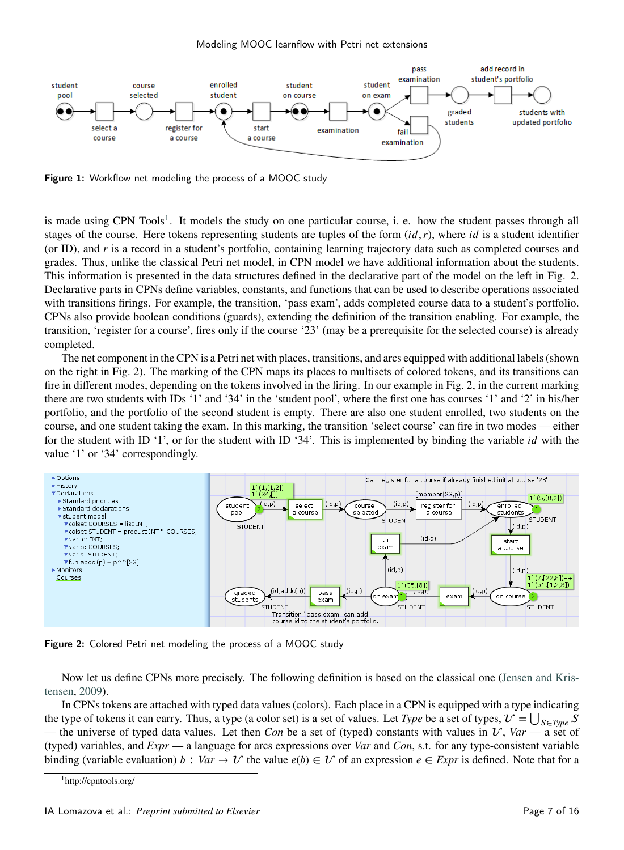

<span id="page-6-0"></span>Figure 1: Workflow net modeling the process of a MOOC study

is made using CPN Tools<sup>[1](#page-6-1)</sup>. It models the study on one particular course, i. e. how the student passes through all stages of the course. Here tokens representing students are tuples of the form  $(id, r)$ , where *id* is a student identifier (or ID), and *𝑟* is a record in a student's portfolio, containing learning trajectory data such as completed courses and grades. Thus, unlike the classical Petri net model, in CPN model we have additional information about the students. This information is presented in the data structures defined in the declarative part of the model on the left in Fig. 2. Declarative parts in CPNs define variables, constants, and functions that can be used to describe operations associated with transitions firings. For example, the transition, 'pass exam', adds completed course data to a student's portfolio. CPNs also provide boolean conditions (guards), extending the definition of the transition enabling. For example, the transition, 'register for a course', fires only if the course '23' (may be a prerequisite for the selected course) is already completed.

The net component in the CPN is a Petri net with places, transitions, and arcs equipped with additional labels (shown on the right in Fig. 2). The marking of the CPN maps its places to multisets of colored tokens, and its transitions can fire in different modes, depending on the tokens involved in the firing. In our example in Fig. 2, in the current marking there are two students with IDs '1' and '34' in the 'student pool', where the first one has courses '1' and '2' in his/her portfolio, and the portfolio of the second student is empty. There are also one student enrolled, two students on the course, and one student taking the exam. In this marking, the transition 'select course' can fire in two modes — either for the student with ID '1', or for the student with ID '34'. This is implemented by binding the variable *id* with the value '1' or '34' correspondingly.



Figure 2: Colored Petri net modeling the process of a MOOC study

Now let us define CPNs more precisely. The following definition is based on the classical one [\(Jensen and Kris](#page-14-13)[tensen,](#page-14-13) [2009\)](#page-14-13).

In CPNs tokens are attached with typed data values (colors). Each place in a CPN is equipped with a type indicating the type of tokens it can carry. Thus, a type (a color set) is a set of values. Let *Type* be a set of types,  $U = \bigcup_{S \in Type} S$ — the universe of typed data values. Let then *Con* be a set of (typed) constants with values in  $U$ ,  $Var$  — a set of (typed) variables, and *Expr* — a language for arcs expressions over *Var* and *Con*, s.t. for any type-consistent variable binding (variable evaluation) *b* :  $Var \to U$  the value  $e(b) \in U$  of an expression  $e \in Expr$  is defined. Note that for a

<span id="page-6-1"></span><sup>1</sup>http://cpntools.org/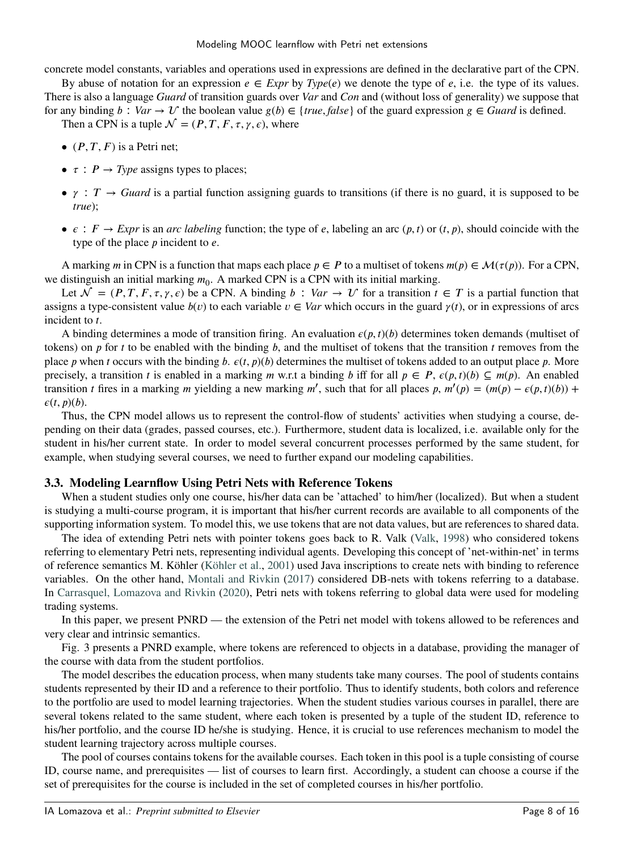concrete model constants, variables and operations used in expressions are defined in the declarative part of the CPN.

By abuse of notation for an expression  $e \in \text{Expr}$  by  $\text{Type}(e)$  we denote the type of *e*, i.e. the type of its values. There is also a language *Guard* of transition guards over *Var* and *Con* and (without loss of generality) we suppose that for any binding  $b : Var \to U$  the boolean value  $g(b) \in \{true, false\}$  of the guard expression  $g \in Guard$  is defined.

Then a CPN is a tuple  $\mathcal{N} = (P, T, F, \tau, \gamma, \epsilon)$ , where

- $(P, T, F)$  is a Petri net;
- $\tau$  :  $P \rightarrow Type$  assigns types to places;
- $\gamma$  : *T*  $\rightarrow$  *Guard* is a partial function assigning guards to transitions (if there is no guard, it is supposed to be *true*);
- $\bullet \epsilon : F \to \text{Expr}$  is an *arc labeling* function; the type of *e*, labeling an arc  $(p, t)$  or  $(t, p)$ , should coincide with the type of the place *p* incident to *e*.

A marking *m* in CPN is a function that maps each place  $p \in P$  to a multiset of tokens  $m(p) \in \mathcal{M}(\tau(p))$ . For a CPN, we distinguish an initial marking  $m_0$ . A marked CPN is a CPN with its initial marking.

Let  $\mathcal{N} = (P, T, F, \tau, \gamma, \epsilon)$  be a CPN. A binding  $b : Var \to U$  for a transition  $t \in T$  is a partial function that assigns a type-consistent value  $b(v)$  to each variable  $v \in Var$  which occurs in the guard  $\gamma(t)$ , or in expressions of arcs incident to *t*.

A binding determines a mode of transition firing. An evaluation  $\varepsilon(p, t)(b)$  determines token demands (multiset of tokens) on *p* for *t* to be enabled with the binding *b*, and the multiset of tokens that the transition *t* removes from the place *p* when *t* occurs with the binding *b*.  $\varepsilon(t, p)(b)$  determines the multiset of tokens added to an output place *p*. More precisely, a transition *t* is enabled in a marking *m* w.r.t a binding *b* iff for all  $p \in P$ ,  $\varepsilon(p, t)(b) \subseteq m(p)$ . An enabled transition *t* fires in a marking *m* yielding a new marking *m'*, such that for all places *p*,  $m'(p) = (m(p) - \epsilon(p, t)(b))$  +  $\varepsilon(t, p)(b)$ .

Thus, the CPN model allows us to represent the control-flow of students' activities when studying a course, depending on their data (grades, passed courses, etc.). Furthermore, student data is localized, i.e. available only for the student in his/her current state. In order to model several concurrent processes performed by the same student, for example, when studying several courses, we need to further expand our modeling capabilities.

#### **3.3. Modeling Learnflow Using Petri Nets with Reference Tokens**

When a student studies only one course, his/her data can be 'attached' to him/her (localized). But when a student is studying a multi-course program, it is important that his/her current records are available to all components of the supporting information system. To model this, we use tokens that are not data values, but are references to shared data.

The idea of extending Petri nets with pointer tokens goes back to R. Valk [\(Valk,](#page-14-28) [1998\)](#page-14-28) who considered tokens referring to elementary Petri nets, representing individual agents. Developing this concept of 'net-within-net' in terms of reference semantics M. Köhler [\(Köhler et al.,](#page-14-14) [2001\)](#page-14-14) used Java inscriptions to create nets with binding to reference variables. On the other hand, [Montali and Rivkin](#page-14-29) [\(2017\)](#page-14-29) considered DB-nets with tokens referring to a database. In [Carrasquel, Lomazova and Rivkin](#page-13-17) [\(2020\)](#page-13-17), Petri nets with tokens referring to global data were used for modeling trading systems.

In this paper, we present PNRD — the extension of the Petri net model with tokens allowed to be references and very clear and intrinsic semantics.

Fig. 3 presents a PNRD example, where tokens are referenced to objects in a database, providing the manager of the course with data from the student portfolios.

The model describes the education process, when many students take many courses. The pool of students contains students represented by their ID and a reference to their portfolio. Thus to identify students, both colors and reference to the portfolio are used to model learning trajectories. When the student studies various courses in parallel, there are several tokens related to the same student, where each token is presented by a tuple of the student ID, reference to his/her portfolio, and the course ID he/she is studying. Hence, it is crucial to use references mechanism to model the student learning trajectory across multiple courses.

The pool of courses contains tokens for the available courses. Each token in this pool is a tuple consisting of course ID, course name, and prerequisites — list of courses to learn first. Accordingly, a student can choose a course if the set of prerequisites for the course is included in the set of completed courses in his/her portfolio.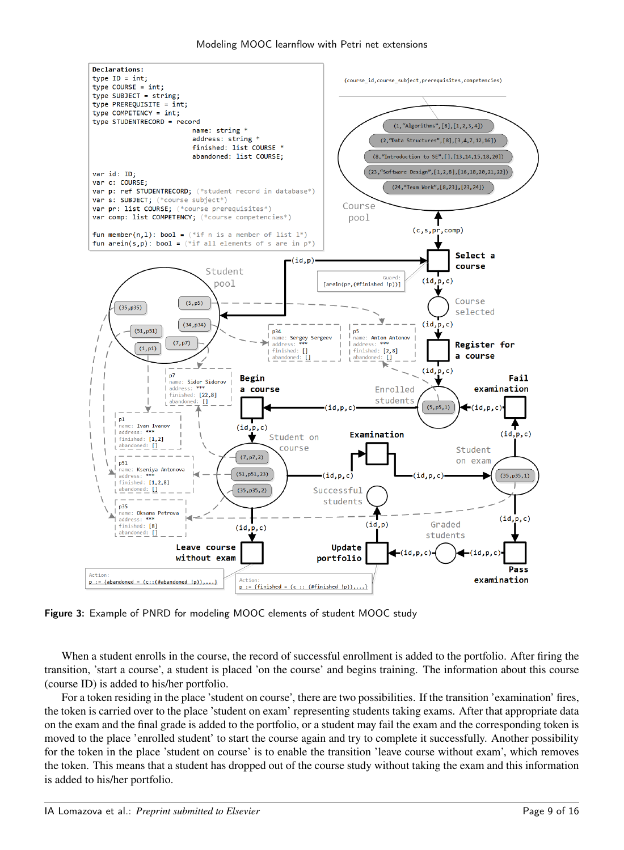

<span id="page-8-0"></span>Figure 3: Example of PNRD for modeling MOOC elements of student MOOC study

When a student enrolls in the course, the record of successful enrollment is added to the portfolio. After firing the transition, 'start a course', a student is placed 'on the course' and begins training. The information about this course (course ID) is added to his/her portfolio.

For a token residing in the place 'student on course', there are two possibilities. If the transition 'examination' fires, the token is carried over to the place 'student on exam' representing students taking exams. After that appropriate data on the exam and the final grade is added to the portfolio, or a student may fail the exam and the corresponding token is moved to the place 'enrolled student' to start the course again and try to complete it successfully. Another possibility for the token in the place 'student on course' is to enable the transition 'leave course without exam', which removes the token. This means that a student has dropped out of the course study without taking the exam and this information is added to his/her portfolio.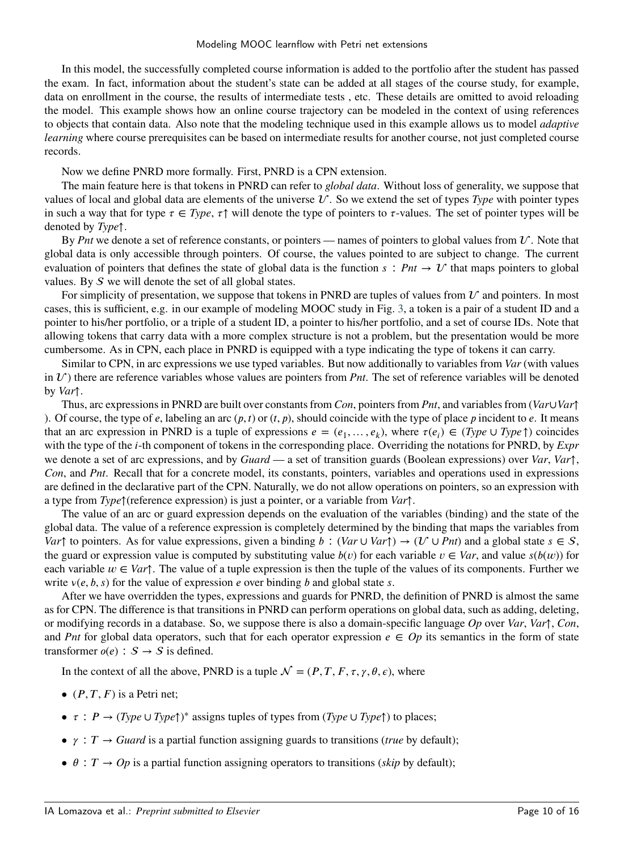In this model, the successfully completed course information is added to the portfolio after the student has passed the exam. In fact, information about the student's state can be added at all stages of the course study, for example, data on enrollment in the course, the results of intermediate tests , etc. These details are omitted to avoid reloading the model. This example shows how an online course trajectory can be modeled in the context of using references to objects that contain data. Also note that the modeling technique used in this example allows us to model *adaptive learning* where course prerequisites can be based on intermediate results for another course, not just completed course records.

Now we define PNRD more formally. First, PNRD is a CPN extension.

The main feature here is that tokens in PNRD can refer to *global data*. Without loss of generality, we suppose that values of local and global data are elements of the universe  $U$ . So we extend the set of types *Type* with pointer types in such a way that for type  $\tau \in Type$ ,  $\tau \uparrow$  will denote the type of pointers to  $\tau$ -values. The set of pointer types will be denoted by *Type*↑.

By *Pnt* we denote a set of reference constants, or pointers — names of pointers to global values from  $U$ . Note that global data is only accessible through pointers. Of course, the values pointed to are subject to change. The current evaluation of pointers that defines the state of global data is the function  $s : Pnt \to U$  that maps pointers to global values. By  $S$  we will denote the set of all global states.

For simplicity of presentation, we suppose that tokens in PNRD are tuples of values from  $\mathcal U$  and pointers. In most cases, this is sufficient, e.g. in our example of modeling MOOC study in Fig. [3,](#page-8-0) a token is a pair of a student ID and a pointer to his/her portfolio, or a triple of a student ID, a pointer to his/her portfolio, and a set of course IDs. Note that allowing tokens that carry data with a more complex structure is not a problem, but the presentation would be more cumbersome. As in CPN, each place in PNRD is equipped with a type indicating the type of tokens it can carry.

Similar to CPN, in arc expressions we use typed variables. But now additionally to variables from *Var* (with values in  $U$ ) there are reference variables whose values are pointers from *Pnt*. The set of reference variables will be denoted by *Var*↑.

Thus, arc expressions in PNRD are built over constants from *Con*, pointers from *Pnt*, and variables from (*Var*∪*Var*↑ ). Of course, the type of  $e$ , labeling an arc  $(p, t)$  or  $(t, p)$ , should coincide with the type of place  $p$  incident to  $e$ . It means that an arc expression in PNRD is a tuple of expressions  $e = (e_1, \ldots, e_k)$ , where  $\tau(e_i) \in (Type \cup Type \uparrow)$  coincides with the type of the *i*-th component of tokens in the corresponding place. Overriding the notations for PNRD, by *Expr* we denote a set of arc expressions, and by *Guard* — a set of transition guards (Boolean expressions) over *Var*, *Var*↑, *Con*, and *Pnt*. Recall that for a concrete model, its constants, pointers, variables and operations used in expressions are defined in the declarative part of the CPN. Naturally, we do not allow operations on pointers, so an expression with a type from *Type*↑(reference expression) is just a pointer, or a variable from *Var*↑.

The value of an arc or guard expression depends on the evaluation of the variables (binding) and the state of the global data. The value of a reference expression is completely determined by the binding that maps the variables from *Var* $\uparrow$  to pointers. As for value expressions, given a binding *b* : (*Var* ∪ *Var* $\uparrow$ )  $\rightarrow$  (*U* ∪ *Pnt*) and a global state  $s \in S$ , the guard or expression value is computed by substituting value  $b(v)$  for each variable  $v \in Var$ , and value  $s(b(w))$  for each variable  $w \in Var\uparrow$ . The value of a tuple expression is then the tuple of the values of its components. Further we write  $v(e, b, s)$  for the value of expression *e* over binding *b* and global state *s*.

After we have overridden the types, expressions and guards for PNRD, the definition of PNRD is almost the same as for CPN. The difference is that transitions in PNRD can perform operations on global data, such as adding, deleting, or modifying records in a database. So, we suppose there is also a domain-specific language *Op* over *Var*, *Var*↑, *Con*, and *Pnt* for global data operators, such that for each operator expression  $e \in Op$  its semantics in the form of state transformer  $o(e)$ :  $S \rightarrow S$  is defined.

In the context of all the above, PNRD is a tuple  $\mathcal{N} = (P, T, F, \tau, \gamma, \theta, \epsilon)$ , where

- $(P, T, F)$  is a Petri net;
- $\bullet$  *τ* : *P* → (*Type* ∪ *Type*†)<sup>\*</sup> assigns tuples of types from (*Type* ∪ *Type*†) to places;
- $\gamma$  : *T*  $\rightarrow$  *Guard* is a partial function assigning guards to transitions (*true* by default);
- $\theta$  :  $T \rightarrow Op$  is a partial function assigning operators to transitions (*skip* by default);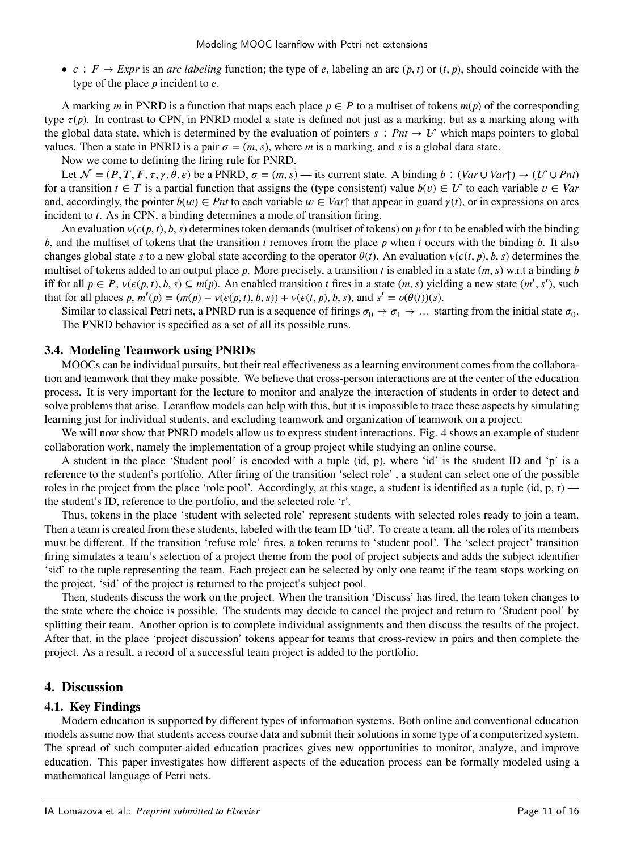$\bullet \epsilon : F \to \text{Expr}$  is an *arc labeling* function; the type of *e*, labeling an arc  $(p, t)$  or  $(t, p)$ , should coincide with the type of the place *p* incident to *e*.

A marking *m* in PNRD is a function that maps each place  $p \in P$  to a multiset of tokens  $m(p)$  of the corresponding type  $\tau(p)$ . In contrast to CPN, in PNRD model a state is defined not just as a marking, but as a marking along with the global data state, which is determined by the evaluation of pointers  $s : Pnt \to U$  which maps pointers to global values. Then a state in PNRD is a pair  $\sigma = (m, s)$ , where *m* is a marking, and *s* is a global data state.

Now we come to defining the firing rule for PNRD.

Let  $\mathcal{N} = (P, T, F, \tau, \gamma, \theta, \epsilon)$  be a PNRD,  $\sigma = (m, s)$  — its current state. A binding *b* :  $(Var \cup Var) \rightarrow (U \cup Pnt)$ for a transition  $t \in T$  is a partial function that assigns the (type consistent) value  $b(v) \in V$  to each variable  $v \in Var$ and, accordingly, the pointer  $b(w) \in P$ *nt* to each variable  $w \in Var$ <sup>†</sup> that appear in guard  $\gamma(t)$ , or in expressions on arcs incident to *t*. As in CPN, a binding determines a mode of transition firing.

An evaluation  $v(\epsilon(p, t), b, s)$  determines token demands (multiset of tokens) on *p* for *t* to be enabled with the binding *b*, and the multiset of tokens that the transition *t* removes from the place *p* when *t* occurs with the binding *b*. It also changes global state *s* to a new global state according to the operator  $\theta(t)$ . An evaluation  $v(e(t, p), b, s)$  determines the multiset of tokens added to an output place *p*. More precisely, a transition *t* is enabled in a state  $(m, s)$  w.r.t a binding *b* iff for all  $p \in P$ ,  $v(\epsilon(p, t), b, s) \subseteq m(p)$ . An enabled transition *t* fires in a state  $(m, s)$  yielding a new state  $(m', s')$ , such that for all places p,  $m'(p) = (m(p) - v(\epsilon(p, t), b, s)) + v(\epsilon(t, p), b, s)$ , and  $s' = o(\theta(t))(s)$ .

Similar to classical Petri nets, a PNRD run is a sequence of firings  $\sigma_0 \to \sigma_1 \to \dots$  starting from the initial state  $\sigma_0$ . The PNRD behavior is specified as a set of all its possible runs.

#### **3.4. Modeling Teamwork using PNRDs**

MOOCs can be individual pursuits, but their real effectiveness as a learning environment comes from the collaboration and teamwork that they make possible. We believe that cross-person interactions are at the center of the education process. It is very important for the lecture to monitor and analyze the interaction of students in order to detect and solve problems that arise. Leranflow models can help with this, but it is impossible to trace these aspects by simulating learning just for individual students, and excluding teamwork and organization of teamwork on a project.

We will now show that PNRD models allow us to express student interactions. Fig. 4 shows an example of student collaboration work, namely the implementation of a group project while studying an online course.

A student in the place 'Student pool' is encoded with a tuple (id, p), where 'id' is the student ID and 'p' is a reference to the student's portfolio. After firing of the transition 'select role' , a student can select one of the possible roles in the project from the place 'role pool'. Accordingly, at this stage, a student is identified as a tuple (id, p, r) the student's ID, reference to the portfolio, and the selected role 'r'.

Thus, tokens in the place 'student with selected role' represent students with selected roles ready to join a team. Then a team is created from these students, labeled with the team ID 'tid'. To create a team, all the roles of its members must be different. If the transition 'refuse role' fires, a token returns to 'student pool'. The 'select project' transition firing simulates a team's selection of a project theme from the pool of project subjects and adds the subject identifier 'sid' to the tuple representing the team. Each project can be selected by only one team; if the team stops working on the project, 'sid' of the project is returned to the project's subject pool.

Then, students discuss the work on the project. When the transition 'Discuss' has fired, the team token changes to the state where the choice is possible. The students may decide to cancel the project and return to 'Student pool' by splitting their team. Another option is to complete individual assignments and then discuss the results of the project. After that, in the place 'project discussion' tokens appear for teams that cross-review in pairs and then complete the project. As a result, a record of a successful team project is added to the portfolio.

## <span id="page-10-0"></span>**4. Discussion**

#### **4.1. Key Findings**

Modern education is supported by different types of information systems. Both online and conventional education models assume now that students access course data and submit their solutions in some type of a computerized system. The spread of such computer-aided education practices gives new opportunities to monitor, analyze, and improve education. This paper investigates how different aspects of the education process can be formally modeled using a mathematical language of Petri nets.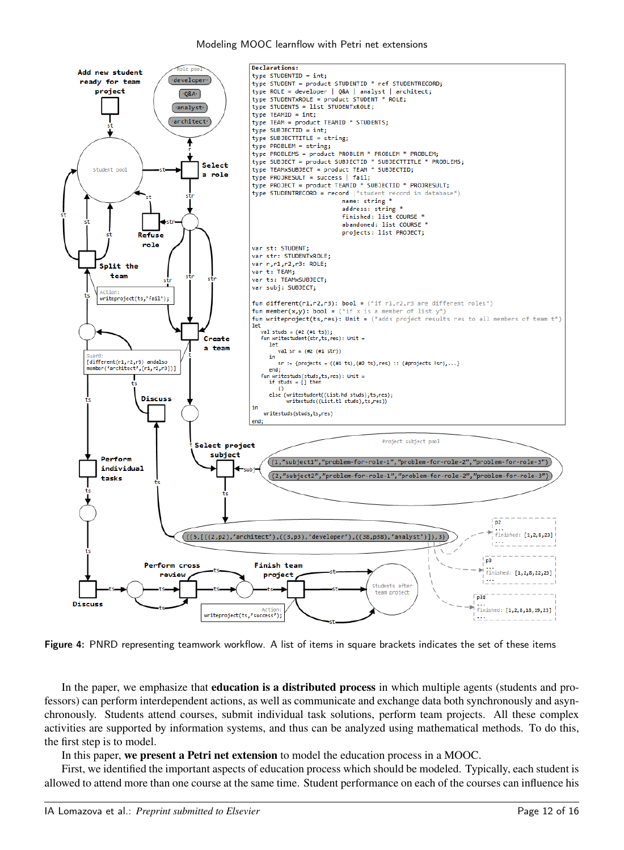#### Modeling MOOC learnflow with Petri net extensions



Figure 4: PNRD representing teamwork workflow. A list of items in square brackets indicates the set of these items

In the paper, we emphasize that **education is a distributed process** in which multiple agents (students and professors) can perform interdependent actions, as well as communicate and exchange data both synchronously and asynchronously. Students attend courses, submit individual task solutions, perform team projects. All these complex activities are supported by information systems, and thus can be analyzed using mathematical methods. To do this, the first step is to model.

In this paper, **we present a Petri net extension** to model the education process in a MOOC.

First, we identified the important aspects of education process which should be modeled. Typically, each student is allowed to attend more than one course at the same time. Student performance on each of the courses can influence his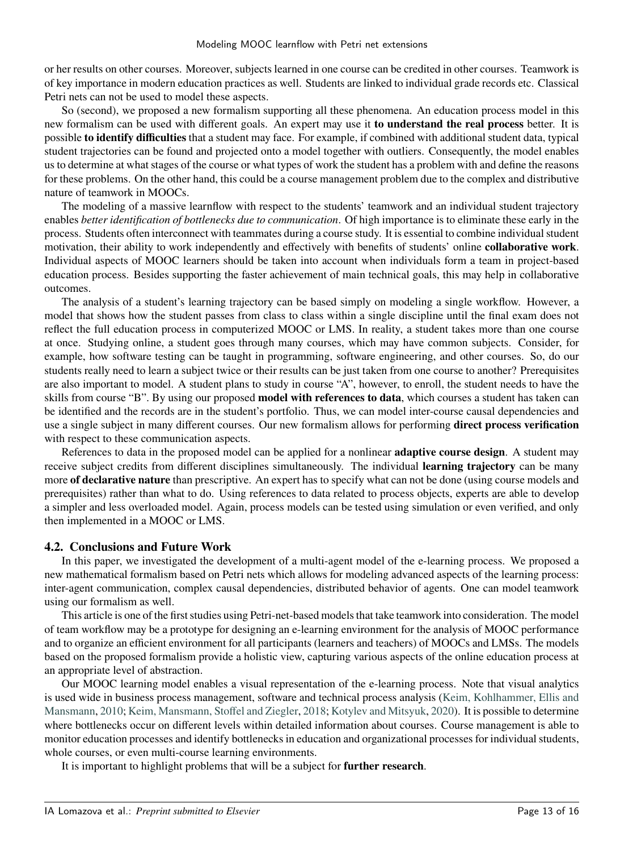or her results on other courses. Moreover, subjects learned in one course can be credited in other courses. Teamwork is of key importance in modern education practices as well. Students are linked to individual grade records etc. Classical Petri nets can not be used to model these aspects.

So (second), we proposed a new formalism supporting all these phenomena. An education process model in this new formalism can be used with different goals. An expert may use it **to understand the real process** better. It is possible **to identify difficulties** that a student may face. For example, if combined with additional student data, typical student trajectories can be found and projected onto a model together with outliers. Consequently, the model enables us to determine at what stages of the course or what types of work the student has a problem with and define the reasons for these problems. On the other hand, this could be a course management problem due to the complex and distributive nature of teamwork in MOOCs.

The modeling of a massive learnflow with respect to the students' teamwork and an individual student trajectory enables *better identification of bottlenecks due to communication*. Of high importance is to eliminate these early in the process. Students often interconnect with teammates during a course study. It is essential to combine individual student motivation, their ability to work independently and effectively with benefits of students' online **collaborative work**. Individual aspects of MOOC learners should be taken into account when individuals form a team in project-based education process. Besides supporting the faster achievement of main technical goals, this may help in collaborative outcomes.

The analysis of a student's learning trajectory can be based simply on modeling a single workflow. However, a model that shows how the student passes from class to class within a single discipline until the final exam does not reflect the full education process in computerized MOOC or LMS. In reality, a student takes more than one course at once. Studying online, a student goes through many courses, which may have common subjects. Consider, for example, how software testing can be taught in programming, software engineering, and other courses. So, do our students really need to learn a subject twice or their results can be just taken from one course to another? Prerequisites are also important to model. A student plans to study in course "A", however, to enroll, the student needs to have the skills from course "B". By using our proposed **model with references to data**, which courses a student has taken can be identified and the records are in the student's portfolio. Thus, we can model inter-course causal dependencies and use a single subject in many different courses. Our new formalism allows for performing **direct process verification** with respect to these communication aspects.

References to data in the proposed model can be applied for a nonlinear **adaptive course design**. A student may receive subject credits from different disciplines simultaneously. The individual **learning trajectory** can be many more **of declarative nature** than prescriptive. An expert has to specify what can not be done (using course models and prerequisites) rather than what to do. Using references to data related to process objects, experts are able to develop a simpler and less overloaded model. Again, process models can be tested using simulation or even verified, and only then implemented in a MOOC or LMS.

## **4.2. Conclusions and Future Work**

In this paper, we investigated the development of a multi-agent model of the e-learning process. We proposed a new mathematical formalism based on Petri nets which allows for modeling advanced aspects of the learning process: inter-agent communication, complex causal dependencies, distributed behavior of agents. One can model teamwork using our formalism as well.

This article is one of the first studies using Petri-net-based models that take teamwork into consideration. The model of team workflow may be a prototype for designing an e-learning environment for the analysis of MOOC performance and to organize an efficient environment for all participants (learners and teachers) of MOOCs and LMSs. The models based on the proposed formalism provide a holistic view, capturing various aspects of the online education process at an appropriate level of abstraction.

Our MOOC learning model enables a visual representation of the e-learning process. Note that visual analytics is used wide in business process management, software and technical process analysis [\(Keim, Kohlhammer, Ellis and](#page-14-30) [Mansmann,](#page-14-30) [2010;](#page-14-30) [Keim, Mansmann, Stoffel and Ziegler,](#page-14-31) [2018;](#page-14-31) [Kotylev and Mitsyuk,](#page-14-32) [2020\)](#page-14-32). It is possible to determine where bottlenecks occur on different levels within detailed information about courses. Course management is able to monitor education processes and identify bottlenecks in education and organizational processes for individual students, whole courses, or even multi-course learning environments.

It is important to highlight problems that will be a subject for **further research**.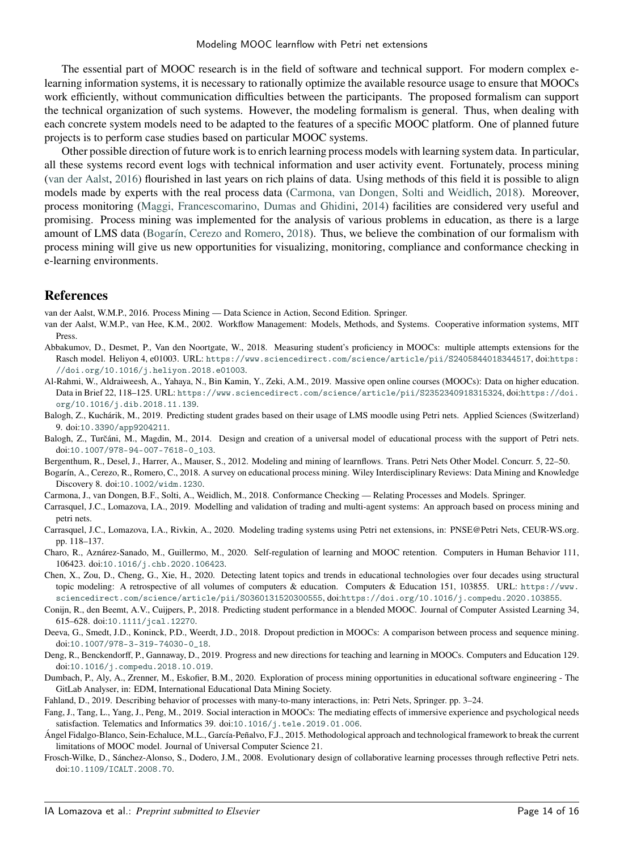The essential part of MOOC research is in the field of software and technical support. For modern complex elearning information systems, it is necessary to rationally optimize the available resource usage to ensure that MOOCs work efficiently, without communication difficulties between the participants. The proposed formalism can support the technical organization of such systems. However, the modeling formalism is general. Thus, when dealing with each concrete system models need to be adapted to the features of a specific MOOC platform. One of planned future projects is to perform case studies based on particular MOOC systems.

Other possible direction of future work is to enrich learning process models with learning system data. In particular, all these systems record event logs with technical information and user activity event. Fortunately, process mining [\(van der Aalst,](#page-13-18) [2016\)](#page-13-18) flourished in last years on rich plains of data. Using methods of this field it is possible to align models made by experts with the real process data [\(Carmona, van Dongen, Solti and Weidlich,](#page-13-19) [2018\)](#page-13-19). Moreover, process monitoring [\(Maggi, Francescomarino, Dumas and Ghidini,](#page-14-33) [2014\)](#page-14-33) facilities are considered very useful and promising. Process mining was implemented for the analysis of various problems in education, as there is a large amount of LMS data [\(Bogarín, Cerezo and Romero,](#page-13-20) [2018\)](#page-13-20). Thus, we believe the combination of our formalism with process mining will give us new opportunities for visualizing, monitoring, compliance and conformance checking in e-learning environments.

### **References**

<span id="page-13-18"></span>van der Aalst, W.M.P., 2016. Process Mining — Data Science in Action, Second Edition. Springer.

- <span id="page-13-8"></span>van der Aalst, W.M.P., van Hee, K.M., 2002. Workflow Management: Models, Methods, and Systems. Cooperative information systems, MIT Press.
- <span id="page-13-5"></span>Abbakumov, D., Desmet, P., Van den Noortgate, W., 2018. Measuring student's proficiency in MOOCs: multiple attempts extensions for the Rasch model. Heliyon 4, e01003. URL: <https://www.sciencedirect.com/science/article/pii/S2405844018344517>, doi:[https:](http://dx.doi.org/https://doi.org/10.1016/j.heliyon.2018.e01003) [//doi.org/10.1016/j.heliyon.2018.e01003](http://dx.doi.org/https://doi.org/10.1016/j.heliyon.2018.e01003).
- <span id="page-13-0"></span>Al-Rahmi, W., Aldraiweesh, A., Yahaya, N., Bin Kamin, Y., Zeki, A.M., 2019. Massive open online courses (MOOCs): Data on higher education. Data in Brief 22, 118–125. URL: <https://www.sciencedirect.com/science/article/pii/S2352340918315324>, doi:[https://doi.](http://dx.doi.org/https://doi.org/10.1016/j.dib.2018.11.139) [org/10.1016/j.dib.2018.11.139](http://dx.doi.org/https://doi.org/10.1016/j.dib.2018.11.139).
- <span id="page-13-13"></span>Balogh, Z., Kuchárik, M., 2019. Predicting student grades based on their usage of LMS moodle using Petri nets. Applied Sciences (Switzerland) 9. doi:[10.3390/app9204211](http://dx.doi.org/10.3390/app9204211).
- <span id="page-13-14"></span>Balogh, Z., Turčáni, M., Magdin, M., 2014. Design and creation of a universal model of educational process with the support of Petri nets. doi:[10.1007/978-94-007-7618-0\\_103](http://dx.doi.org/10.1007/978-94-007-7618-0_103).
- <span id="page-13-9"></span>Bergenthum, R., Desel, J., Harrer, A., Mauser, S., 2012. Modeling and mining of learnflows. Trans. Petri Nets Other Model. Concurr. 5, 22–50.
- <span id="page-13-20"></span>Bogarín, A., Cerezo, R., Romero, C., 2018. A survey on educational process mining. Wiley Interdisciplinary Reviews: Data Mining and Knowledge Discovery 8. doi:[10.1002/widm.1230](http://dx.doi.org/10.1002/widm.1230).
- <span id="page-13-19"></span>Carmona, J., van Dongen, B.F., Solti, A., Weidlich, M., 2018. Conformance Checking — Relating Processes and Models. Springer.
- <span id="page-13-7"></span>Carrasquel, J.C., Lomazova, I.A., 2019. Modelling and validation of trading and multi-agent systems: An approach based on process mining and petri nets.
- <span id="page-13-17"></span>Carrasquel, J.C., Lomazova, I.A., Rivkin, A., 2020. Modeling trading systems using Petri net extensions, in: PNSE@Petri Nets, CEUR-WS.org. pp. 118–137.
- <span id="page-13-4"></span>Charo, R., Aznárez-Sanado, M., Guillermo, M., 2020. Self-regulation of learning and MOOC retention. Computers in Human Behavior 111, 106423. doi:[10.1016/j.chb.2020.106423](http://dx.doi.org/10.1016/j.chb.2020.106423).
- <span id="page-13-1"></span>Chen, X., Zou, D., Cheng, G., Xie, H., 2020. Detecting latent topics and trends in educational technologies over four decades using structural topic modeling: A retrospective of all volumes of computers & education. Computers & Education 151, 103855. URL: [https://www.](https://www.sciencedirect.com/science/article/pii/S0360131520300555) [sciencedirect.com/science/article/pii/S0360131520300555](https://www.sciencedirect.com/science/article/pii/S0360131520300555), doi:[https://doi.org/10.1016/j.compedu.2020.103855](http://dx.doi.org/https://doi.org/10.1016/j.compedu.2020.103855).
- <span id="page-13-12"></span>Conijn, R., den Beemt, A.V., Cuijpers, P., 2018. Predicting student performance in a blended MOOC. Journal of Computer Assisted Learning 34, 615–628. doi:[10.1111/jcal.12270](http://dx.doi.org/10.1111/jcal.12270).
- <span id="page-13-11"></span>Deeva, G., Smedt, J.D., Koninck, P.D., Weerdt, J.D., 2018. Dropout prediction in MOOCs: A comparison between process and sequence mining. doi:[10.1007/978-3-319-74030-0\\_18](http://dx.doi.org/10.1007/978-3-319-74030-0_18).
- <span id="page-13-10"></span>Deng, R., Benckendorff, P., Gannaway, D., 2019. Progress and new directions for teaching and learning in MOOCs. Computers and Education 129. doi:[10.1016/j.compedu.2018.10.019](http://dx.doi.org/10.1016/j.compedu.2018.10.019).
- <span id="page-13-6"></span>Dumbach, P., Aly, A., Zrenner, M., Eskofier, B.M., 2020. Exploration of process mining opportunities in educational software engineering - The GitLab Analyser, in: EDM, International Educational Data Mining Society.
- <span id="page-13-16"></span>Fahland, D., 2019. Describing behavior of processes with many-to-many interactions, in: Petri Nets, Springer. pp. 3–24.

<span id="page-13-3"></span>Fang, J., Tang, L., Yang, J., Peng, M., 2019. Social interaction in MOOCs: The mediating effects of immersive experience and psychological needs satisfaction. Telematics and Informatics 39. doi:[10.1016/j.tele.2019.01.006](http://dx.doi.org/10.1016/j.tele.2019.01.006).

- <span id="page-13-2"></span>Ángel Fidalgo-Blanco, Sein-Echaluce, M.L., García-Peñalvo, F.J., 2015. Methodological approach and technological framework to break the current limitations of MOOC model. Journal of Universal Computer Science 21.
- <span id="page-13-15"></span>Frosch-Wilke, D., Sánchez-Alonso, S., Dodero, J.M., 2008. Evolutionary design of collaborative learning processes through reflective Petri nets. doi:[10.1109/ICALT.2008.70](http://dx.doi.org/10.1109/ICALT.2008.70).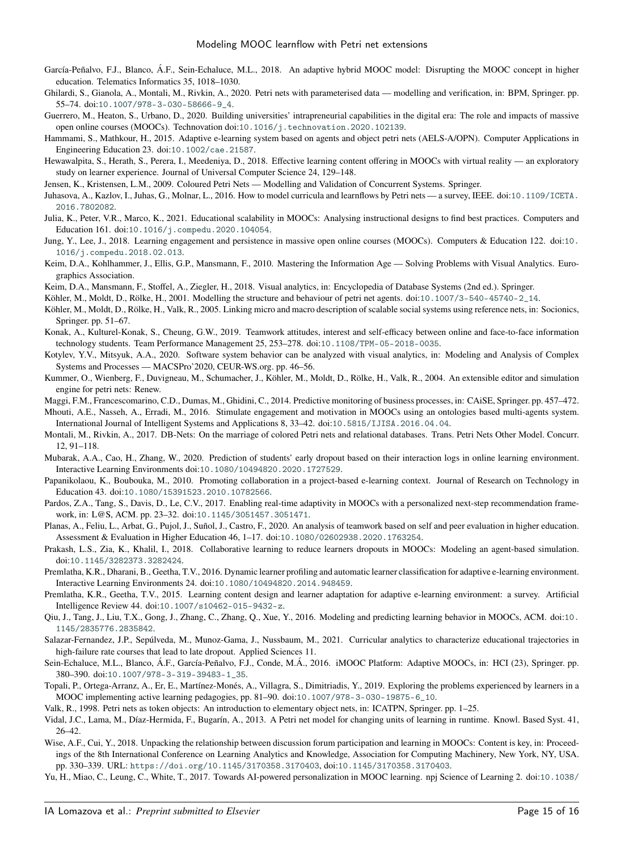- <span id="page-14-3"></span>García-Peñalvo, F.J., Blanco, Á.F., Sein-Echaluce, M.L., 2018. An adaptive hybrid MOOC model: Disrupting the MOOC concept in higher education. Telematics Informatics 35, 1018–1030.
- <span id="page-14-25"></span>Ghilardi, S., Gianola, A., Montali, M., Rivkin, A., 2020. Petri nets with parameterised data — modelling and verification, in: BPM, Springer. pp. 55–74. doi:[10.1007/978-3-030-58666-9\\_4](http://dx.doi.org/10.1007/978-3-030-58666-9_4).
- <span id="page-14-16"></span>Guerrero, M., Heaton, S., Urbano, D., 2020. Building universities' intrapreneurial capabilities in the digital era: The role and impacts of massive open online courses (MOOCs). Technovation doi:[10.1016/j.technovation.2020.102139](http://dx.doi.org/10.1016/j.technovation.2020.102139).
- <span id="page-14-23"></span>Hammami, S., Mathkour, H., 2015. Adaptive e-learning system based on agents and object petri nets (AELS-A/OPN). Computer Applications in Engineering Education 23. doi:[10.1002/cae.21587](http://dx.doi.org/10.1002/cae.21587).
- <span id="page-14-0"></span>Hewawalpita, S., Herath, S., Perera, I., Meedeniya, D., 2018. Effective learning content offering in MOOCs with virtual reality — an exploratory study on learner experience. Journal of Universal Computer Science 24, 129–148.
- <span id="page-14-13"></span>Jensen, K., Kristensen, L.M., 2009. Coloured Petri Nets — Modelling and Validation of Concurrent Systems. Springer.
- <span id="page-14-24"></span>Juhasova, A., Kazlov, I., Juhas, G., Molnar, L., 2016. How to model curricula and learnflows by Petri nets — a survey, IEEE. doi:[10.1109/ICETA.](http://dx.doi.org/10.1109/ICETA.2016.7802082) [2016.7802082](http://dx.doi.org/10.1109/ICETA.2016.7802082).
- <span id="page-14-6"></span>Julia, K., Peter, V.R., Marco, K., 2021. Educational scalability in MOOCs: Analysing instructional designs to find best practices. Computers and Education 161. doi:[10.1016/j.compedu.2020.104054](http://dx.doi.org/10.1016/j.compedu.2020.104054).
- <span id="page-14-9"></span>Jung, Y., Lee, J., 2018. Learning engagement and persistence in massive open online courses (MOOCs). Computers & Education 122. doi:[10.](http://dx.doi.org/10.1016/j.compedu.2018.02.013) [1016/j.compedu.2018.02.013](http://dx.doi.org/10.1016/j.compedu.2018.02.013).
- <span id="page-14-30"></span>Keim, D.A., Kohlhammer, J., Ellis, G.P., Mansmann, F., 2010. Mastering the Information Age — Solving Problems with Visual Analytics. Eurographics Association.
- <span id="page-14-31"></span>Keim, D.A., Mansmann, F., Stoffel, A., Ziegler, H., 2018. Visual analytics, in: Encyclopedia of Database Systems (2nd ed.). Springer.
- <span id="page-14-14"></span>Köhler, M., Moldt, D., Rölke, H., 2001. Modelling the structure and behaviour of petri net agents. doi:[10.1007/3-540-45740-2\\_14](http://dx.doi.org/10.1007/3-540-45740-2_14).
- <span id="page-14-27"></span>Köhler, M., Moldt, D., Rölke, H., Valk, R., 2005. Linking micro and macro description of scalable social systems using reference nets, in: Socionics, Springer. pp. 51–67.
- <span id="page-14-11"></span>Konak, A., Kulturel-Konak, S., Cheung, G.W., 2019. Teamwork attitudes, interest and self-efficacy between online and face-to-face information technology students. Team Performance Management 25, 253–278. doi:[10.1108/TPM-05-2018-0035](http://dx.doi.org/10.1108/TPM-05-2018-0035).
- <span id="page-14-32"></span>Kotylev, Y.V., Mitsyuk, A.A., 2020. Software system behavior can be analyzed with visual analytics, in: Modeling and Analysis of Complex Systems and Processes — MACSPro'2020, CEUR-WS.org. pp. 46–56.
- <span id="page-14-15"></span>Kummer, O., Wienberg, F., Duvigneau, M., Schumacher, J., Köhler, M., Moldt, D., Rölke, H., Valk, R., 2004. An extensible editor and simulation engine for petri nets: Renew.
- <span id="page-14-33"></span>Maggi, F.M., Francescomarino, C.D., Dumas, M., Ghidini, C., 2014. Predictive monitoring of business processes, in: CAiSE, Springer. pp. 457–472.
- <span id="page-14-7"></span>Mhouti, A.E., Nasseh, A., Erradi, M., 2016. Stimulate engagement and motivation in MOOCs using an ontologies based multi-agents system. International Journal of Intelligent Systems and Applications 8, 33–42. doi:[10.5815/IJISA.2016.04.04](http://dx.doi.org/10.5815/IJISA.2016.04.04).
- <span id="page-14-29"></span>Montali, M., Rivkin, A., 2017. DB-Nets: On the marriage of colored Petri nets and relational databases. Trans. Petri Nets Other Model. Concurr. 12, 91–118.
- <span id="page-14-17"></span>Mubarak, A.A., Cao, H., Zhang, W., 2020. Prediction of students' early dropout based on their interaction logs in online learning environment. Interactive Learning Environments doi:[10.1080/10494820.2020.1727529](http://dx.doi.org/10.1080/10494820.2020.1727529).
- <span id="page-14-12"></span>Papanikolaou, K., Boubouka, M., 2010. Promoting collaboration in a project-based e-learning context. Journal of Research on Technology in Education 43. doi:[10.1080/15391523.2010.10782566](http://dx.doi.org/10.1080/15391523.2010.10782566).
- <span id="page-14-1"></span>Pardos, Z.A., Tang, S., Davis, D., Le, C.V., 2017. Enabling real-time adaptivity in MOOCs with a personalized next-step recommendation framework, in: L@S, ACM. pp. 23–32. doi:[10.1145/3051457.3051471](http://dx.doi.org/10.1145/3051457.3051471).
- <span id="page-14-26"></span>Planas, A., Feliu, L., Arbat, G., Pujol, J., Suñol, J., Castro, F., 2020. An analysis of teamwork based on self and peer evaluation in higher education. Assessment & Evaluation in Higher Education 46, 1–17. doi:[10.1080/02602938.2020.1763254](http://dx.doi.org/10.1080/02602938.2020.1763254).
- <span id="page-14-18"></span>Prakash, L.S., Zia, K., Khalil, I., 2018. Collaborative learning to reduce learners dropouts in MOOCs: Modeling an agent-based simulation. doi:[10.1145/3282373.3282424](http://dx.doi.org/10.1145/3282373.3282424).
- <span id="page-14-21"></span>Premlatha, K.R., Dharani, B., Geetha, T.V., 2016. Dynamic learner profiling and automatic learner classification for adaptive e-learning environment. Interactive Learning Environments 24. doi:[10.1080/10494820.2014.948459](http://dx.doi.org/10.1080/10494820.2014.948459).
- <span id="page-14-20"></span>Premlatha, K.R., Geetha, T.V., 2015. Learning content design and learner adaptation for adaptive e-learning environment: a survey. Artificial Intelligence Review 44. doi:[10.1007/s10462-015-9432-z](http://dx.doi.org/10.1007/s10462-015-9432-z).
- <span id="page-14-5"></span>Qiu, J., Tang, J., Liu, T.X., Gong, J., Zhang, C., Zhang, Q., Xue, Y., 2016. Modeling and predicting learning behavior in MOOCs, ACM. doi:[10.](http://dx.doi.org/10.1145/2835776.2835842) [1145/2835776.2835842](http://dx.doi.org/10.1145/2835776.2835842).
- <span id="page-14-19"></span>Salazar-Fernandez, J.P., Sepúlveda, M., Munoz-Gama, J., Nussbaum, M., 2021. Curricular analytics to characterize educational trajectories in high-failure rate courses that lead to late dropout. Applied Sciences 11.
- <span id="page-14-4"></span>Sein-Echaluce, M.L., Blanco, Á.F., García-Peñalvo, F.J., Conde, M.Á., 2016. iMOOC Platform: Adaptive MOOCs, in: HCI (23), Springer. pp. 380–390. doi:[10.1007/978-3-319-39483-1\\_35](http://dx.doi.org/10.1007/978-3-319-39483-1_35).
- <span id="page-14-2"></span>Topali, P., Ortega-Arranz, A., Er, E., Martínez-Monés, A., Villagra, S., Dimitriadis, Y., 2019. Exploring the problems experienced by learners in a MOOC implementing active learning pedagogies, pp. 81–90. doi:[10.1007/978-3-030-19875-6\\_10](http://dx.doi.org/10.1007/978-3-030-19875-6_10).
- <span id="page-14-28"></span>Valk, R., 1998. Petri nets as token objects: An introduction to elementary object nets, in: ICATPN, Springer. pp. 1–25.
- <span id="page-14-22"></span>Vidal, J.C., Lama, M., Díaz-Hermida, F., Bugarín, A., 2013. A Petri net model for changing units of learning in runtime. Knowl. Based Syst. 41, 26–42.
- <span id="page-14-8"></span>Wise, A.F., Cui, Y., 2018. Unpacking the relationship between discussion forum participation and learning in MOOCs: Content is key, in: Proceedings of the 8th International Conference on Learning Analytics and Knowledge, Association for Computing Machinery, New York, NY, USA. pp. 330–339. URL: <https://doi.org/10.1145/3170358.3170403>, doi:[10.1145/3170358.3170403](http://dx.doi.org/10.1145/3170358.3170403).
- <span id="page-14-10"></span>Yu, H., Miao, C., Leung, C., White, T., 2017. Towards AI-powered personalization in MOOC learning. npj Science of Learning 2. doi:[10.1038/](http://dx.doi.org/10.1038/s41539-017-0016-3)